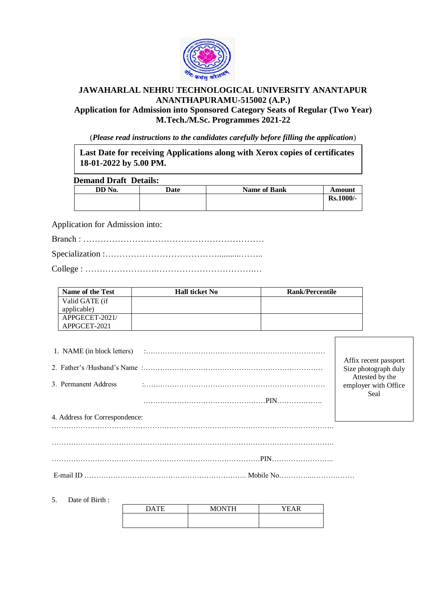

## **JAWAHARLAL NEHRU TECHNOLOGICAL UNIVERSITY ANANTAPUR ANANTHAPURAMU-515002 (A.P.)**

**Application for Admission into Sponsored Category Seats of Regular (Two Year) M.Tech./M.Sc. Programmes 2021-22**

(*Please read instructions to the candidates carefully before filling the application*)

**Last Date for receiving Applications along with Xerox copies of certificates 18-01-2022 by 5.00 PM.**

## **Demand Draft Details:**

| $\sim$ villages $\sim$ into $\sim$ verifies. |        |      |                     |           |  |
|----------------------------------------------|--------|------|---------------------|-----------|--|
|                                              | DD No. | Date | <b>Name of Bank</b> | Amount    |  |
|                                              |        |      |                     | Rs.1000/- |  |

Application for Admission into:

Specialization :…………………………………...........……..

College : …………………….…………………………….…

| Name of the Test | <b>Hall ticket No</b> | <b>Rank/Percentile</b> |
|------------------|-----------------------|------------------------|
| Valid GATE (if   |                       |                        |
| applicable)      |                       |                        |
| APPGECET-2021/   |                       |                        |
| APPGCET-2021     |                       |                        |

| 1. NAME (in block letters)     |            |                                                 |  |  |
|--------------------------------|------------|-------------------------------------------------|--|--|
|                                |            | Affix recent passport<br>Size photograph duly   |  |  |
| 3. Permanent Address           |            | Attested by the<br>employer with Office<br>Seal |  |  |
|                                | <b>PIN</b> |                                                 |  |  |
| 4. Address for Correspondence: |            |                                                 |  |  |
|                                |            |                                                 |  |  |

……………………………………………………………………………………………………….

……………………………………………………………………………PIN……………………..

E-mail ID ………………………………………………………….. Mobile No…………..………………

5. Date of Birth :

| <b>MONTH</b> | YEAR |
|--------------|------|
|              |      |
|              |      |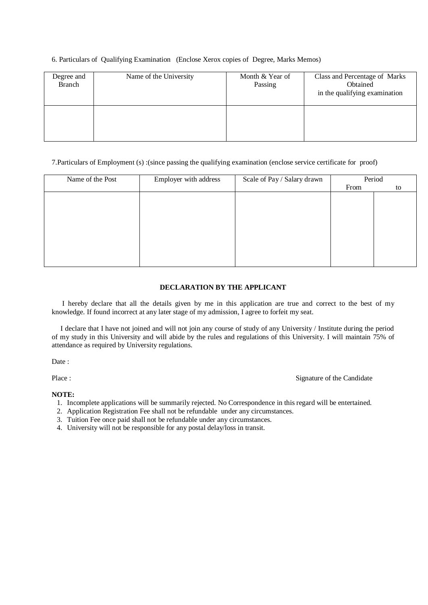6. Particulars of Qualifying Examination (Enclose Xerox copies of Degree, Marks Memos)

| Degree and<br><b>Branch</b> | Name of the University | Month & Year of<br>Passing | Class and Percentage of Marks<br>Obtained<br>in the qualifying examination |
|-----------------------------|------------------------|----------------------------|----------------------------------------------------------------------------|
|                             |                        |                            |                                                                            |

7.Particulars of Employment (s) :(since passing the qualifying examination (enclose service certificate for proof)

| Name of the Post | Employer with address | Scale of Pay / Salary drawn | Period |    |
|------------------|-----------------------|-----------------------------|--------|----|
|                  |                       |                             |        |    |
|                  |                       |                             | From   | to |
|                  |                       |                             |        |    |
|                  |                       |                             |        |    |
|                  |                       |                             |        |    |
|                  |                       |                             |        |    |
|                  |                       |                             |        |    |
|                  |                       |                             |        |    |
|                  |                       |                             |        |    |
|                  |                       |                             |        |    |
|                  |                       |                             |        |    |
|                  |                       |                             |        |    |
|                  |                       |                             |        |    |
|                  |                       |                             |        |    |
|                  |                       |                             |        |    |
|                  |                       |                             |        |    |
|                  |                       |                             |        |    |

## **DECLARATION BY THE APPLICANT**

 I hereby declare that all the details given by me in this application are true and correct to the best of my knowledge. If found incorrect at any later stage of my admission, I agree to forfeit my seat.

 I declare that I have not joined and will not join any course of study of any University / Institute during the period of my study in this University and will abide by the rules and regulations of this University. I will maintain 75% of attendance as required by University regulations.

Date:

Place : Signature of the Candidate

**NOTE:**

- 1. Incomplete applications will be summarily rejected. No Correspondence in this regard will be entertained.
- 2. Application Registration Fee shall not be refundable under any circumstances.
- 3. Tuition Fee once paid shall not be refundable under any circumstances.
- 4. University will not be responsible for any postal delay/loss in transit.